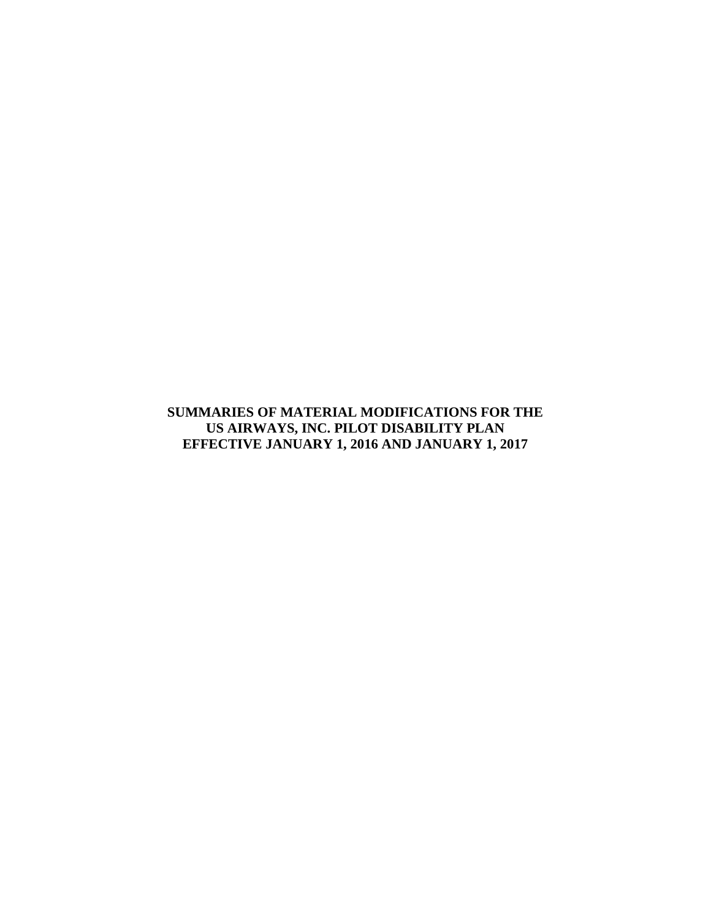**SUMMARIES OF MATERIAL MODIFICATIONS FOR THE US AIRWAYS, INC. PILOT DISABILITY PLAN EFFECTIVE JANUARY 1, 2016 AND JANUARY 1, 2017**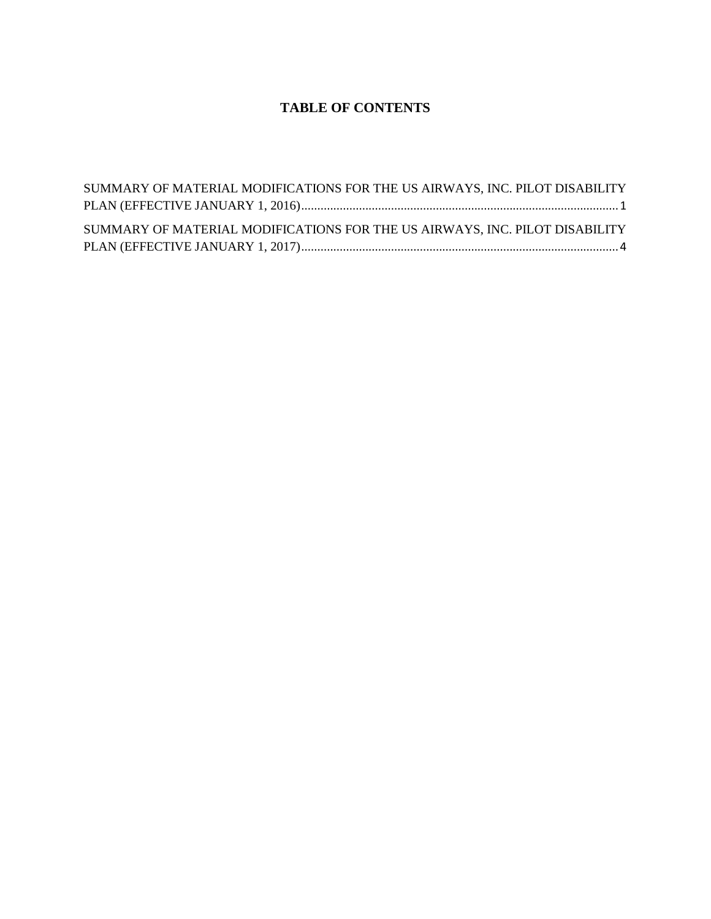# **TABLE OF CONTENTS**

| SUMMARY OF MATERIAL MODIFICATIONS FOR THE US AIRWAYS, INC. PILOT DISABILITY |  |
|-----------------------------------------------------------------------------|--|
|                                                                             |  |
|                                                                             |  |
| SUMMARY OF MATERIAL MODIFICATIONS FOR THE US AIRWAYS, INC. PILOT DISABILITY |  |
|                                                                             |  |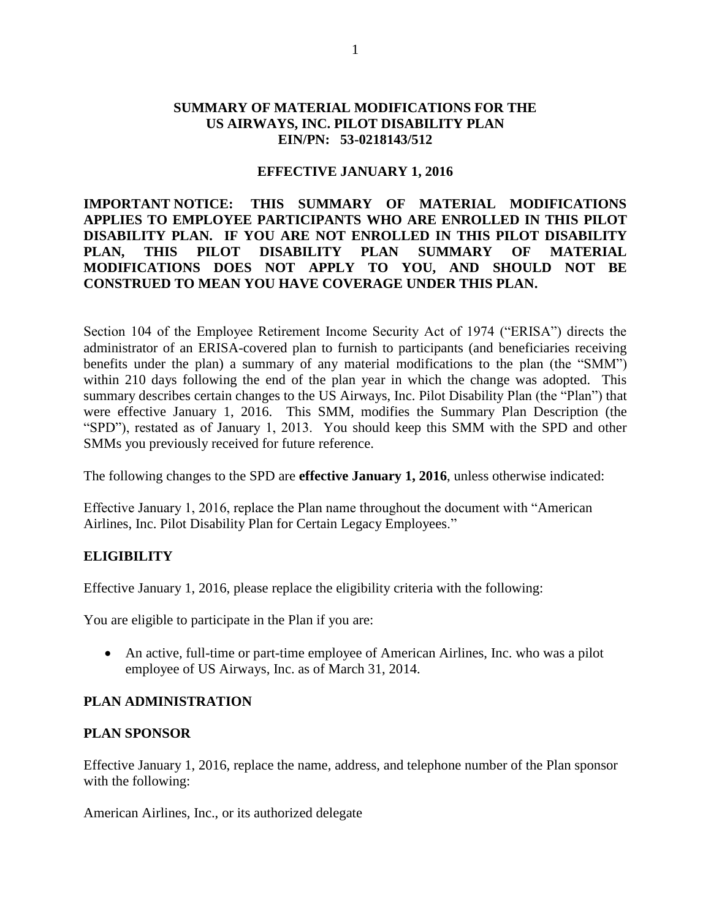### <span id="page-2-0"></span>**SUMMARY OF MATERIAL MODIFICATIONS FOR THE US AIRWAYS, INC. PILOT DISABILITY PLAN EIN/PN: 53-0218143/512**

#### **EFFECTIVE JANUARY 1, 2016**

## **IMPORTANT NOTICE: THIS SUMMARY OF MATERIAL MODIFICATIONS APPLIES TO EMPLOYEE PARTICIPANTS WHO ARE ENROLLED IN THIS PILOT DISABILITY PLAN. IF YOU ARE NOT ENROLLED IN THIS PILOT DISABILITY PLAN, THIS PILOT DISABILITY PLAN SUMMARY OF MATERIAL MODIFICATIONS DOES NOT APPLY TO YOU, AND SHOULD NOT BE CONSTRUED TO MEAN YOU HAVE COVERAGE UNDER THIS PLAN.**

Section 104 of the Employee Retirement Income Security Act of 1974 ("ERISA") directs the administrator of an ERISA-covered plan to furnish to participants (and beneficiaries receiving benefits under the plan) a summary of any material modifications to the plan (the "SMM") within 210 days following the end of the plan year in which the change was adopted. This summary describes certain changes to the US Airways, Inc. Pilot Disability Plan (the "Plan") that were effective January 1, 2016. This SMM, modifies the Summary Plan Description (the "SPD"), restated as of January 1, 2013. You should keep this SMM with the SPD and other SMMs you previously received for future reference.

The following changes to the SPD are **effective January 1, 2016**, unless otherwise indicated:

Effective January 1, 2016, replace the Plan name throughout the document with "American Airlines, Inc. Pilot Disability Plan for Certain Legacy Employees."

### **ELIGIBILITY**

Effective January 1, 2016, please replace the eligibility criteria with the following:

You are eligible to participate in the Plan if you are:

 An active, full-time or part-time employee of American Airlines, Inc. who was a pilot employee of US Airways, Inc. as of March 31, 2014.

### **PLAN ADMINISTRATION**

#### **PLAN SPONSOR**

Effective January 1, 2016, replace the name, address, and telephone number of the Plan sponsor with the following:

American Airlines, Inc., or its authorized delegate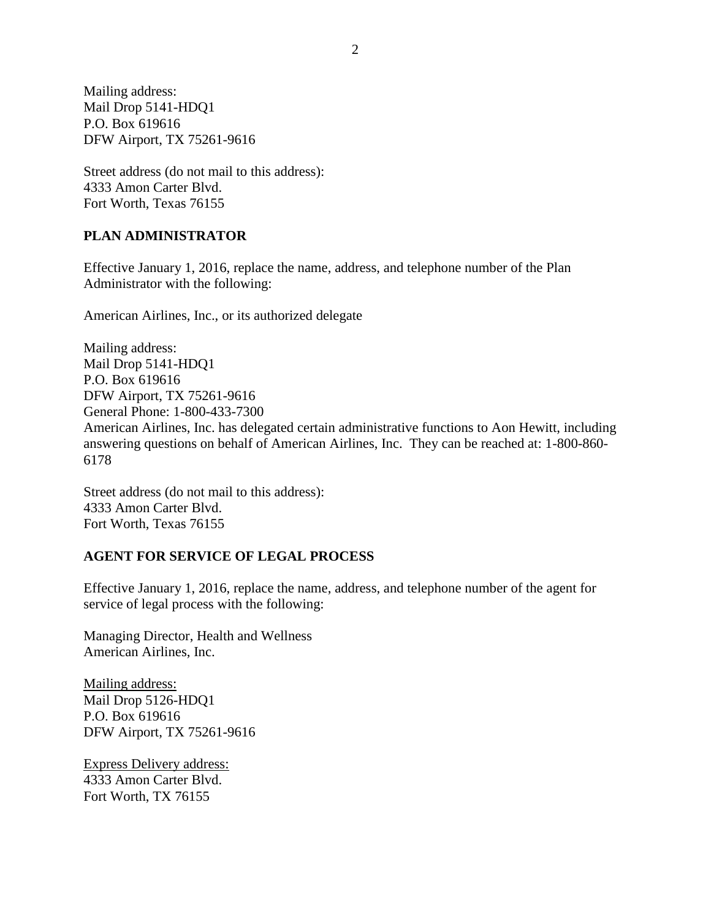Mailing address: Mail Drop 5141-HDQ1 P.O. Box 619616 DFW Airport, TX 75261-9616

Street address (do not mail to this address): 4333 Amon Carter Blvd. Fort Worth, Texas 76155

## **PLAN ADMINISTRATOR**

Effective January 1, 2016, replace the name, address, and telephone number of the Plan Administrator with the following:

American Airlines, Inc., or its authorized delegate

Mailing address: Mail Drop 5141-HDQ1 P.O. Box 619616 DFW Airport, TX 75261-9616 General Phone: 1-800-433-7300 American Airlines, Inc. has delegated certain administrative functions to Aon Hewitt, including answering questions on behalf of American Airlines, Inc. They can be reached at: 1-800-860- 6178

Street address (do not mail to this address): 4333 Amon Carter Blvd. Fort Worth, Texas 76155

### **AGENT FOR SERVICE OF LEGAL PROCESS**

Effective January 1, 2016, replace the name, address, and telephone number of the agent for service of legal process with the following:

Managing Director, Health and Wellness American Airlines, Inc.

Mailing address: Mail Drop 5126-HDQ1 P.O. Box 619616 DFW Airport, TX 75261-9616

Express Delivery address: 4333 Amon Carter Blvd. Fort Worth, TX 76155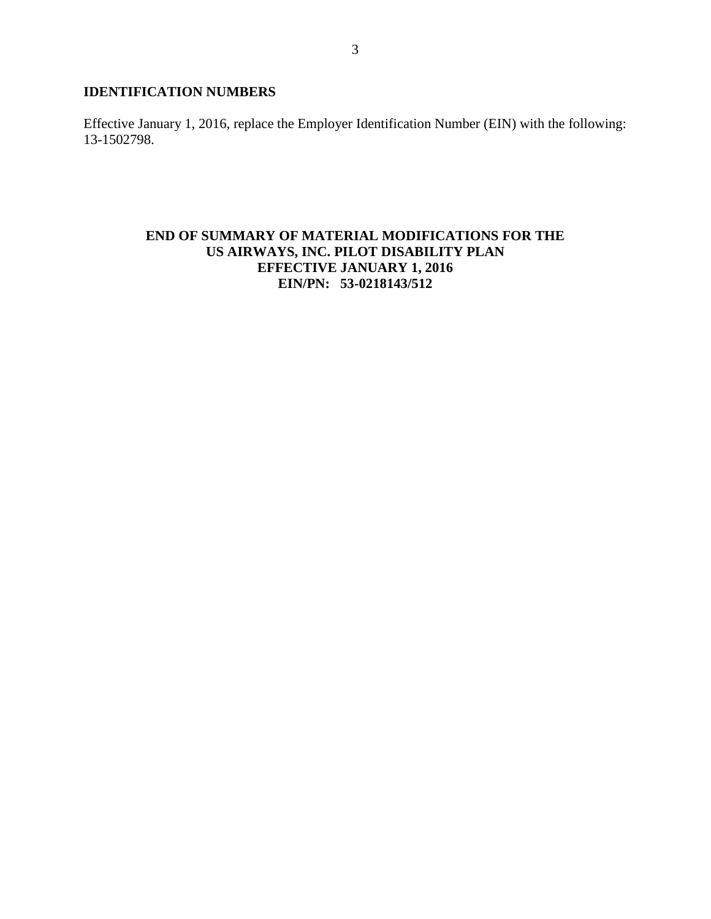# **IDENTIFICATION NUMBERS**

Effective January 1, 2016, replace the Employer Identification Number (EIN) with the following: 13-1502798.

# **END OF SUMMARY OF MATERIAL MODIFICATIONS FOR THE US AIRWAYS, INC. PILOT DISABILITY PLAN EFFECTIVE JANUARY 1, 2016 EIN/PN: 53-0218143/512**